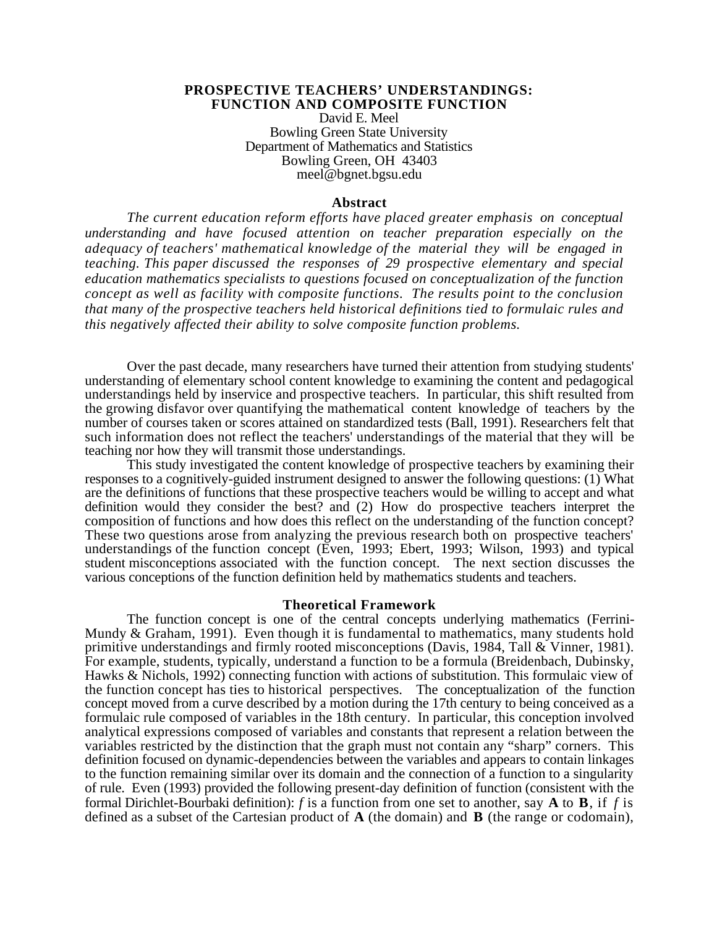#### **PROSPECTIVE TEACHERS' UNDERSTANDINGS: FUNCTION AND COMPOSITE FUNCTION**

David E. Meel Bowling Green State University Department of Mathematics and Statistics Bowling Green, OH 43403 meel@bgnet.bgsu.edu

#### **Abstract**

*The current education reform efforts have placed greater emphasis on conceptual understanding and have focused attention on teacher preparation especially on the adequacy of teachers' mathematical knowledge of the material they will be engaged in teaching. This paper discussed the responses of 29 prospective elementary and special education mathematics specialists to questions focused on conceptualization of the function concept as well as facility with composite functions. The results point to the conclusion that many of the prospective teachers held historical definitions tied to formulaic rules and this negatively affected their ability to solve composite function problems.*

Over the past decade, many researchers have turned their attention from studying students' understanding of elementary school content knowledge to examining the content and pedagogical understandings held by inservice and prospective teachers. In particular, this shift resulted from the growing disfavor over quantifying the mathematical content knowledge of teachers by the number of courses taken or scores attained on standardized tests (Ball, 1991). Researchers felt that such information does not reflect the teachers' understandings of the material that they will be teaching nor how they will transmit those understandings.

This study investigated the content knowledge of prospective teachers by examining their responses to a cognitively-guided instrument designed to answer the following questions: (1) What are the definitions of functions that these prospective teachers would be willing to accept and what definition would they consider the best? and (2) How do prospective teachers interpret the composition of functions and how does this reflect on the understanding of the function concept? These two questions arose from analyzing the previous research both on prospective teachers' understandings of the function concept (Even, 1993; Ebert, 1993; Wilson, 1993) and typical student misconceptions associated with the function concept. The next section discusses the various conceptions of the function definition held by mathematics students and teachers.

#### **Theoretical Framework**

The function concept is one of the central concepts underlying mathematics (Ferrini-Mundy & Graham, 1991). Even though it is fundamental to mathematics, many students hold primitive understandings and firmly rooted misconceptions (Davis, 1984, Tall & Vinner, 1981). For example, students, typically, understand a function to be a formula (Breidenbach, Dubinsky, Hawks & Nichols, 1992) connecting function with actions of substitution. This formulaic view of the function concept has ties to historical perspectives. The conceptualization of the function concept moved from a curve described by a motion during the 17th century to being conceived as a formulaic rule composed of variables in the 18th century. In particular, this conception involved analytical expressions composed of variables and constants that represent a relation between the variables restricted by the distinction that the graph must not contain any "sharp" corners. This definition focused on dynamic-dependencies between the variables and appears to contain linkages to the function remaining similar over its domain and the connection of a function to a singularity of rule. Even (1993) provided the following present-day definition of function (consistent with the formal Dirichlet-Bourbaki definition): *f* is a function from one set to another, say **A** to **B**, if *f* is defined as a subset of the Cartesian product of **A** (the domain) and **B** (the range or codomain),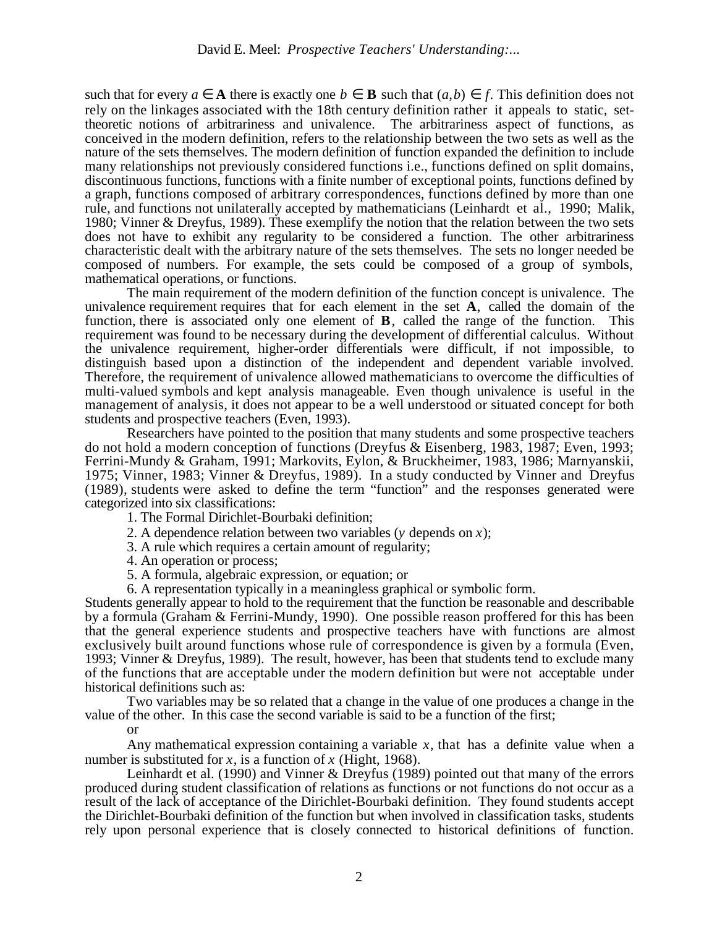such that for every *a* **A** there is exactly one *b* **B** such that  $(a,b)$  *f*. This definition does not rely on the linkages associated with the 18th century definition rather it appeals to static, settheoretic notions of arbitrariness and univalence. The arbitrariness aspect of functions, as conceived in the modern definition, refers to the relationship between the two sets as well as the nature of the sets themselves. The modern definition of function expanded the definition to include many relationships not previously considered functions i.e., functions defined on split domains, discontinuous functions, functions with a finite number of exceptional points, functions defined by a graph, functions composed of arbitrary correspondences, functions defined by more than one rule, and functions not unilaterally accepted by mathematicians (Leinhardt et al., 1990; Malik, 1980; Vinner & Dreyfus, 1989). These exemplify the notion that the relation between the two sets does not have to exhibit any regularity to be considered a function. The other arbitrariness characteristic dealt with the arbitrary nature of the sets themselves. The sets no longer needed be composed of numbers. For example, the sets could be composed of a group of symbols, mathematical operations, or functions.

The main requirement of the modern definition of the function concept is univalence. The univalence requirement requires that for each element in the set **A**, called the domain of the function, there is associated only one element of **B**, called the range of the function. This requirement was found to be necessary during the development of differential calculus. Without the univalence requirement, higher-order differentials were difficult, if not impossible, to distinguish based upon a distinction of the independent and dependent variable involved. Therefore, the requirement of univalence allowed mathematicians to overcome the difficulties of multi-valued symbols and kept analysis manageable. Even though univalence is useful in the management of analysis, it does not appear to be a well understood or situated concept for both students and prospective teachers (Even, 1993).

Researchers have pointed to the position that many students and some prospective teachers do not hold a modern conception of functions (Dreyfus & Eisenberg, 1983, 1987; Even, 1993; Ferrini-Mundy & Graham, 1991; Markovits, Eylon, & Bruckheimer, 1983, 1986; Marnyanskii, 1975; Vinner, 1983; Vinner & Dreyfus, 1989). In a study conducted by Vinner and Dreyfus (1989), students were asked to define the term "function" and the responses generated were categorized into six classifications:

- 1. The Formal Dirichlet-Bourbaki definition;
- 2. A dependence relation between two variables (*y* depends on *x*);
- 3. A rule which requires a certain amount of regularity;
- 4. An operation or process;
- 5. A formula, algebraic expression, or equation; or
- 6. A representation typically in a meaningless graphical or symbolic form.

Students generally appear to hold to the requirement that the function be reasonable and describable by a formula (Graham & Ferrini-Mundy, 1990). One possible reason proffered for this has been that the general experience students and prospective teachers have with functions are almost exclusively built around functions whose rule of correspondence is given by a formula (Even, 1993; Vinner & Dreyfus, 1989). The result, however, has been that students tend to exclude many of the functions that are acceptable under the modern definition but were not acceptable under historical definitions such as:

Two variables may be so related that a change in the value of one produces a change in the value of the other. In this case the second variable is said to be a function of the first;

#### or

Any mathematical expression containing a variable *x*, that has a definite value when a number is substituted for *x*, is a function of *x* (Hight, 1968).

Leinhardt et al. (1990) and Vinner & Dreyfus (1989) pointed out that many of the errors produced during student classification of relations as functions or not functions do not occur as a result of the lack of acceptance of the Dirichlet-Bourbaki definition. They found students accept the Dirichlet-Bourbaki definition of the function but when involved in classification tasks, students rely upon personal experience that is closely connected to historical definitions of function.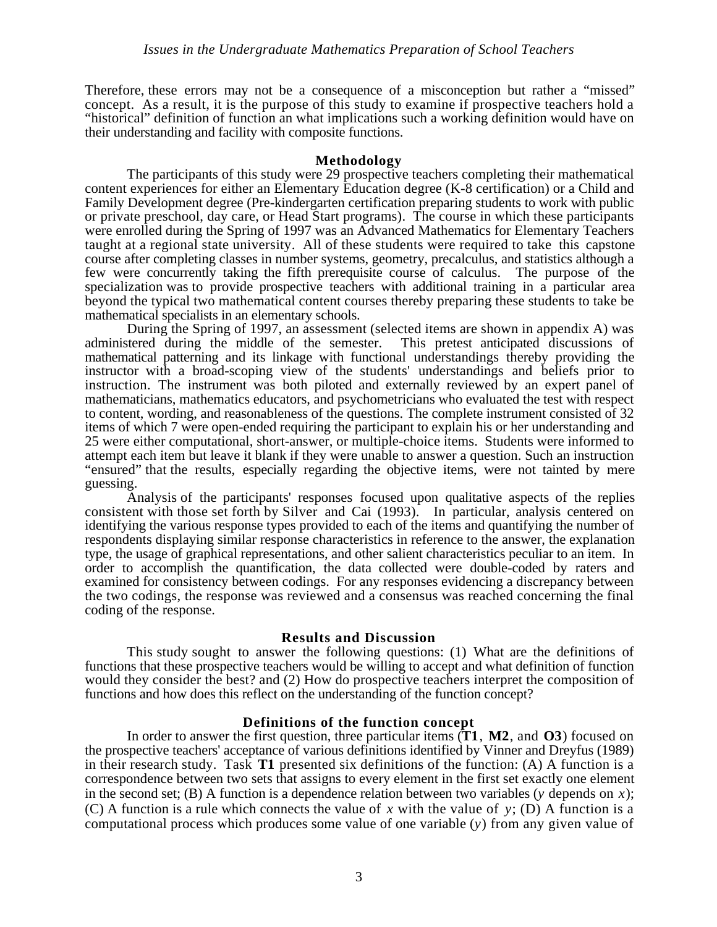Therefore, these errors may not be a consequence of a misconception but rather a "missed" concept. As a result, it is the purpose of this study to examine if prospective teachers hold a "historical" definition of function an what implications such a working definition would have on their understanding and facility with composite functions.

#### **Methodology**

The participants of this study were 29 prospective teachers completing their mathematical content experiences for either an Elementary Education degree (K-8 certification) or a Child and Family Development degree (Pre-kindergarten certification preparing students to work with public or private preschool, day care, or Head Start programs). The course in which these participants were enrolled during the Spring of 1997 was an Advanced Mathematics for Elementary Teachers taught at a regional state university. All of these students were required to take this capstone course after completing classes in number systems, geometry, precalculus, and statistics although a few were concurrently taking the fifth prerequisite course of calculus. The purpose of the specialization was to provide prospective teachers with additional training in a particular area beyond the typical two mathematical content courses thereby preparing these students to take be mathematical specialists in an elementary schools.

During the Spring of 1997, an assessment (selected items are shown in appendix A) was administered during the middle of the semester. This pretest anticipated discussions of mathematical patterning and its linkage with functional understandings thereby providing the instructor with a broad-scoping view of the students' understandings and beliefs prior to instruction. The instrument was both piloted and externally reviewed by an expert panel of mathematicians, mathematics educators, and psychometricians who evaluated the test with respect to content, wording, and reasonableness of the questions. The complete instrument consisted of 32 items of which 7 were open-ended requiring the participant to explain his or her understanding and 25 were either computational, short-answer, or multiple-choice items. Students were informed to attempt each item but leave it blank if they were unable to answer a question. Such an instruction "ensured" that the results, especially regarding the objective items, were not tainted by mere guessing.

Analysis of the participants' responses focused upon qualitative aspects of the replies consistent with those set forth by Silver and Cai (1993). In particular, analysis centered on identifying the various response types provided to each of the items and quantifying the number of respondents displaying similar response characteristics in reference to the answer, the explanation type, the usage of graphical representations, and other salient characteristics peculiar to an item. In order to accomplish the quantification, the data collected were double-coded by raters and examined for consistency between codings. For any responses evidencing a discrepancy between the two codings, the response was reviewed and a consensus was reached concerning the final coding of the response.

### **Results and Discussion**

This study sought to answer the following questions: (1) What are the definitions of functions that these prospective teachers would be willing to accept and what definition of function would they consider the best? and (2) How do prospective teachers interpret the composition of functions and how does this reflect on the understanding of the function concept?

### **Definitions of the function concept**

In order to answer the first question, three particular items (**T1**, **M2**, and **O3**) focused on the prospective teachers' acceptance of various definitions identified by Vinner and Dreyfus (1989) in their research study. Task **T1** presented six definitions of the function: (A) A function is a correspondence between two sets that assigns to every element in the first set exactly one element in the second set; (B) A function is a dependence relation between two variables ( $\nu$  depends on  $x$ ); (C) A function is a rule which connects the value of *x* with the value of *y*; (D) A function is a computational process which produces some value of one variable (*y*) from any given value of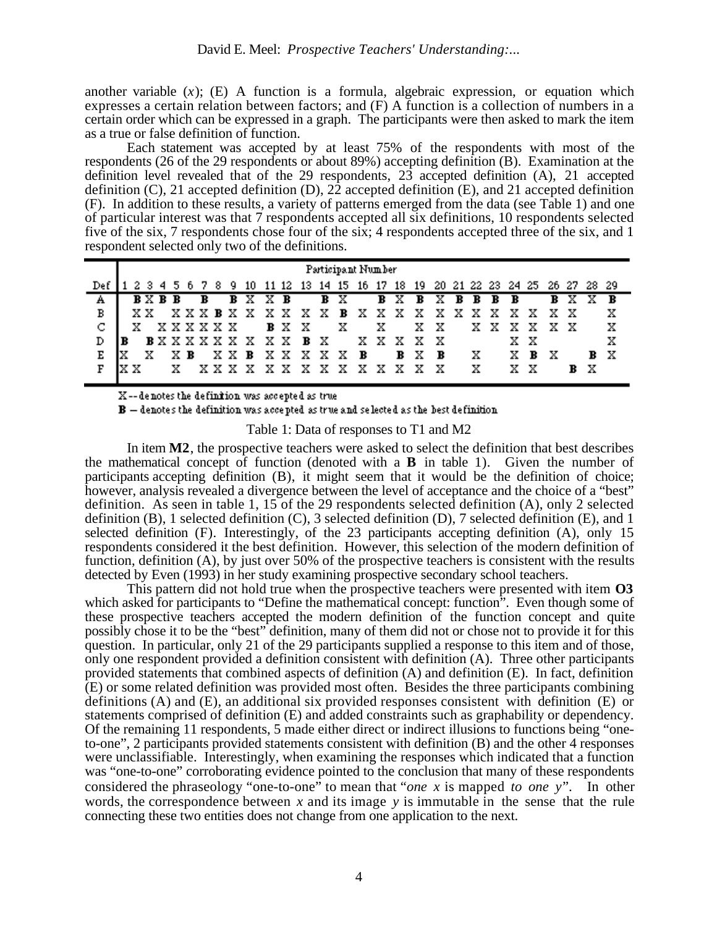another variable  $(x)$ ;  $(E)$  A function is a formula, algebraic expression, or equation which expresses a certain relation between factors; and (F) A function is a collection of numbers in a certain order which can be expressed in a graph. The participants were then asked to mark the item as a true or false definition of function.

Each statement was accepted by at least 75% of the respondents with most of the respondents (26 of the 29 respondents or about 89%) accepting definition (B). Examination at the definition level revealed that of the 29 respondents,  $2\overline{3}$  accepted definition (A), 21 accepted definition (C), 21 accepted definition (D), 22 accepted definition (E), and 21 accepted definition (F). In addition to these results, a variety of patterns emerged from the data (see Table 1) and one of particular interest was that 7 respondents accepted all six definitions, 10 respondents selected five of the six, 7 respondents chose four of the six; 4 respondents accepted three of the six, and 1 respondent selected only two of the definitions.

|     | Participant Number |    |    |  |                |     |              |  |               |         |  |  |              |  |               |  |                                  |                                                                             |     |         |     |     |             |     |     |     |
|-----|--------------------|----|----|--|----------------|-----|--------------|--|---------------|---------|--|--|--------------|--|---------------|--|----------------------------------|-----------------------------------------------------------------------------|-----|---------|-----|-----|-------------|-----|-----|-----|
| "De |                    |    |    |  |                |     |              |  |               |         |  |  |              |  |               |  |                                  | 2 3 4 5 6 7 8 9 10 11 12 13 14 15 16 17 18 19 20 21 22 23 24 25 26 27 28 29 |     |         |     |     |             |     |     |     |
| А   |                    |    |    |  | $B \times B$ B |     | $\mathbf{B}$ |  |               | B X X B |  |  |              |  |               |  | <b>B</b> X <b>B</b> X <b>B</b> X |                                                                             |     | B B B B |     |     |             | B X | x   |     |
| в   |                    |    |    |  |                |     |              |  |               |         |  |  |              |  |               |  |                                  | XX XXXBXXXXXXBXXXXXXXXXXXXX                                                 |     |         |     |     |             |     |     | х   |
| C   |                    | x. |    |  |                |     |              |  | <b>XXXXXX</b> |         |  |  | <b>B</b> X X |  | XX            |  |                                  | X X                                                                         |     |         |     |     | x x x x x x |     |     | х   |
|     |                    |    |    |  |                |     |              |  |               |         |  |  |              |  |               |  | <b>BXXXXXXXXXBX</b> XXXXX        |                                                                             |     |         | x x |     |             |     |     | х   |
| Е   | lx                 |    | x. |  |                | X в |              |  |               | XX B    |  |  |              |  | <b>XXXXXB</b> |  | B X B                            |                                                                             | - x |         | X B |     | x           |     |     | B X |
| F   |                    |    |    |  | x.             |     |              |  |               |         |  |  |              |  |               |  | XXXXXXXXXXXXX                    |                                                                             | x   |         |     | x x |             |     | B X |     |
|     |                    |    |    |  |                |     |              |  |               |         |  |  |              |  |               |  |                                  |                                                                             |     |         |     |     |             |     |     |     |

X--denotes the definition was accepted as true

 $\mathbf{B}-$  denotes the definition was accepted as true and selected as the best definition

Table 1: Data of responses to T1 and M2

In item **M2**, the prospective teachers were asked to select the definition that best describes the mathematical concept of function (denoted with a **B** in table 1). Given the number of participants accepting definition (B), it might seem that it would be the definition of choice; however, analysis revealed a divergence between the level of acceptance and the choice of a "best" definition. As seen in table 1, 15 of the 29 respondents selected definition (A), only 2 selected definition (B), 1 selected definition (C), 3 selected definition (D), 7 selected definition (E), and 1 selected definition (F). Interestingly, of the 23 participants accepting definition (A), only 15 respondents considered it the best definition. However, this selection of the modern definition of function, definition (A), by just over 50% of the prospective teachers is consistent with the results detected by Even (1993) in her study examining prospective secondary school teachers.

This pattern did not hold true when the prospective teachers were presented with item **O3** which asked for participants to "Define the mathematical concept: function". Even though some of these prospective teachers accepted the modern definition of the function concept and quite possibly chose it to be the "best" definition, many of them did not or chose not to provide it for this question. In particular, only 21 of the 29 participants supplied a response to this item and of those, only one respondent provided a definition consistent with definition (A). Three other participants provided statements that combined aspects of definition (A) and definition (E). In fact, definition (E) or some related definition was provided most often. Besides the three participants combining definitions (A) and (E), an additional six provided responses consistent with definition (E) or statements comprised of definition (E) and added constraints such as graphability or dependency. Of the remaining 11 respondents, 5 made either direct or indirect illusions to functions being "oneto-one", 2 participants provided statements consistent with definition (B) and the other 4 responses were unclassifiable. Interestingly, when examining the responses which indicated that a function was "one-to-one" corroborating evidence pointed to the conclusion that many of these respondents considered the phraseology "one-to-one" to mean that "*one x* is mapped *to one y*". In other words, the correspondence between *x* and its image *y* is immutable in the sense that the rule connecting these two entities does not change from one application to the next.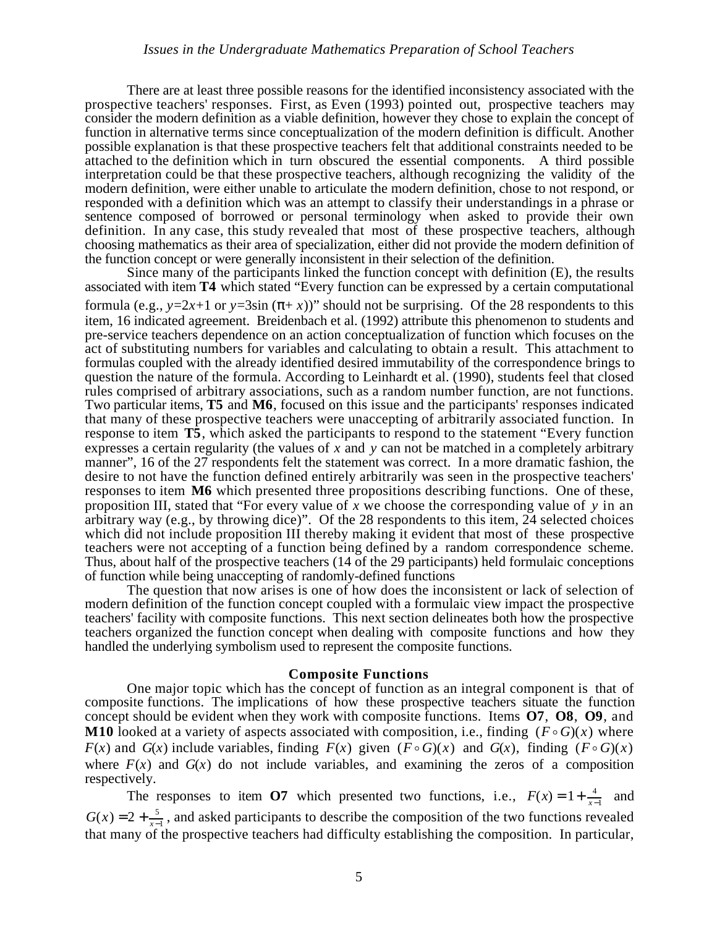There are at least three possible reasons for the identified inconsistency associated with the prospective teachers' responses. First, as Even (1993) pointed out, prospective teachers may consider the modern definition as a viable definition, however they chose to explain the concept of function in alternative terms since conceptualization of the modern definition is difficult. Another possible explanation is that these prospective teachers felt that additional constraints needed to be attached to the definition which in turn obscured the essential components. A third possible interpretation could be that these prospective teachers, although recognizing the validity of the modern definition, were either unable to articulate the modern definition, chose to not respond, or responded with a definition which was an attempt to classify their understandings in a phrase or sentence composed of borrowed or personal terminology when asked to provide their own definition. In any case, this study revealed that most of these prospective teachers, although choosing mathematics as their area of specialization, either did not provide the modern definition of the function concept or were generally inconsistent in their selection of the definition.

Since many of the participants linked the function concept with definition (E), the results associated with item **T4** which stated "Every function can be expressed by a certain computational formula (e.g.,  $y=2x+1$  or  $y=3\sin(-x)$ )" should not be surprising. Of the 28 respondents to this item, 16 indicated agreement. Breidenbach et al. (1992) attribute this phenomenon to students and pre-service teachers dependence on an action conceptualization of function which focuses on the act of substituting numbers for variables and calculating to obtain a result. This attachment to formulas coupled with the already identified desired immutability of the correspondence brings to question the nature of the formula. According to Leinhardt et al. (1990), students feel that closed rules comprised of arbitrary associations, such as a random number function, are not functions. Two particular items, **T5** and **M6**, focused on this issue and the participants' responses indicated that many of these prospective teachers were unaccepting of arbitrarily associated function. In response to item **T5**, which asked the participants to respond to the statement "Every function expresses a certain regularity (the values of *x* and *y* can not be matched in a completely arbitrary manner", 16 of the 27 respondents felt the statement was correct. In a more dramatic fashion, the desire to not have the function defined entirely arbitrarily was seen in the prospective teachers' responses to item **M6** which presented three propositions describing functions. One of these, proposition III, stated that "For every value of *x* we choose the corresponding value of *y* in an arbitrary way (e.g., by throwing dice)". Of the 28 respondents to this item, 24 selected choices which did not include proposition III thereby making it evident that most of these prospective teachers were not accepting of a function being defined by a random correspondence scheme. Thus, about half of the prospective teachers (14 of the 29 participants) held formulaic conceptions of function while being unaccepting of randomly-defined functions

The question that now arises is one of how does the inconsistent or lack of selection of modern definition of the function concept coupled with a formulaic view impact the prospective teachers' facility with composite functions. This next section delineates both how the prospective teachers organized the function concept when dealing with composite functions and how they handled the underlying symbolism used to represent the composite functions.

#### **Composite Functions**

One major topic which has the concept of function as an integral component is that of composite functions. The implications of how these prospective teachers situate the function concept should be evident when they work with composite functions. Items **O7**, **O8**, **O9**, and **M10** looked at a variety of aspects associated with composition, i.e., finding  $(F \circ G)(x)$  where ľ  $F(x)$  and  $G(x)$  include variables, finding  $F(x)$  given  $(F \circ G)(x)$  and  $G(x)$ , finding  $(F \circ G)(x)$ where  $F(x)$  and  $G(x)$  do not include variables, and examining the zeros of a composition respectively.

The responses to item **O7** which presented two functions, i.e.,  $F(x) = 1 + \frac{4}{x}$  $\frac{4}{x-1}$  and  $G(x) = 2 + \frac{5}{x-1}$  $\frac{3}{x-1}$ , and asked participants to describe the composition of the two functions revealed that many of the prospective teachers had difficulty establishing the composition. In particular,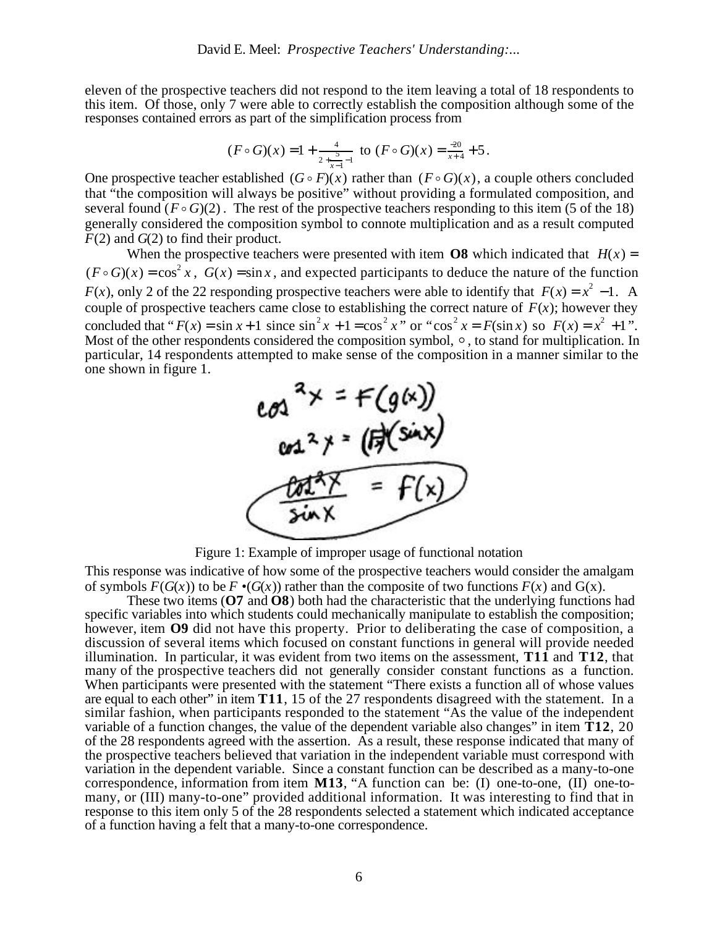eleven of the prospective teachers did not respond to the item leaving a total of 18 respondents to this item. Of those, only 7 were able to correctly establish the composition although some of the responses contained errors as part of the simplification process from

$$
(F \circ G)(x) = 1 + \frac{4}{2 + \frac{5}{x-1} - 1}
$$
 to  $(F \circ G)(x) = \frac{-20}{x+4} + 5$ .

One prospective teacher established  $(G \circ F)(x)$  rather than  $(F \circ G)(x)$ , a couple others concluded The prospective teacher established  $(\mathbf{G} \circ \mathbf{F})(x)$  rather than  $(\mathbf{F} \circ \mathbf{G})(x)$ , a couple others concluded that "the composition will always be positive" without providing a formulated composition, and several found  $(F \circ G)(2)$ . The rest of the prospective teachers responding to this item (5 of the 18) generally considered the composition symbol to connote multiplication and as a result computed generally considered the composition symbol to connote multiplication and as a result computed *F*(2) and *G*(2) to find their product.

When the prospective teachers were presented with item **O8** which indicated that  $H(x) =$  $(F \circ G)(x) = \cos^2 x$ ,  $G(x) = \sin x$ , and expected participants to deduce the nature of the function *F*(*x*), only 2 of the 22 responding prospective teachers were able to identify that  $F(x) = x^2 - 1$ . A couple of prospective teachers came close to establishing the correct nature of  $F(x)$ ; however they concluded that " $F(x) = \sin x + 1$  since  $\sin^2 x + 1 = \cos^2 x$ " or " $\cos^2 x = F(\sin x)$  so  $F(x) = x^2 + 1$ ". Most of the other respondents considered the composition symbol,  $\circ$ , to stand for multiplication. In particular, 14 respondents attempted to make sense of the composition in a manner similar to the one shown in figure 1.



Figure 1: Example of improper usage of functional notation

This response was indicative of how some of the prospective teachers would consider the amalgam of symbols  $F(G(x))$  to be  $F \cdot (G(x))$  rather than the composite of two functions  $F(x)$  and  $G(x)$ .

These two items (**O7** and **O8**) both had the characteristic that the underlying functions had specific variables into which students could mechanically manipulate to establish the composition; however, item **O9** did not have this property. Prior to deliberating the case of composition, a discussion of several items which focused on constant functions in general will provide needed illumination. In particular, it was evident from two items on the assessment, **T11** and **T12**, that many of the prospective teachers did not generally consider constant functions as a function. When participants were presented with the statement "There exists a function all of whose values are equal to each other" in item **T11**, 15 of the 27 respondents disagreed with the statement. In a similar fashion, when participants responded to the statement "As the value of the independent variable of a function changes, the value of the dependent variable also changes" in item **T12**, 20 of the 28 respondents agreed with the assertion. As a result, these response indicated that many of the prospective teachers believed that variation in the independent variable must correspond with variation in the dependent variable. Since a constant function can be described as a many-to-one correspondence, information from item **M13**, "A function can be: (I) one-to-one, (II) one-tomany, or (III) many-to-one" provided additional information. It was interesting to find that in response to this item only 5 of the 28 respondents selected a statement which indicated acceptance of a function having a felt that a many-to-one correspondence.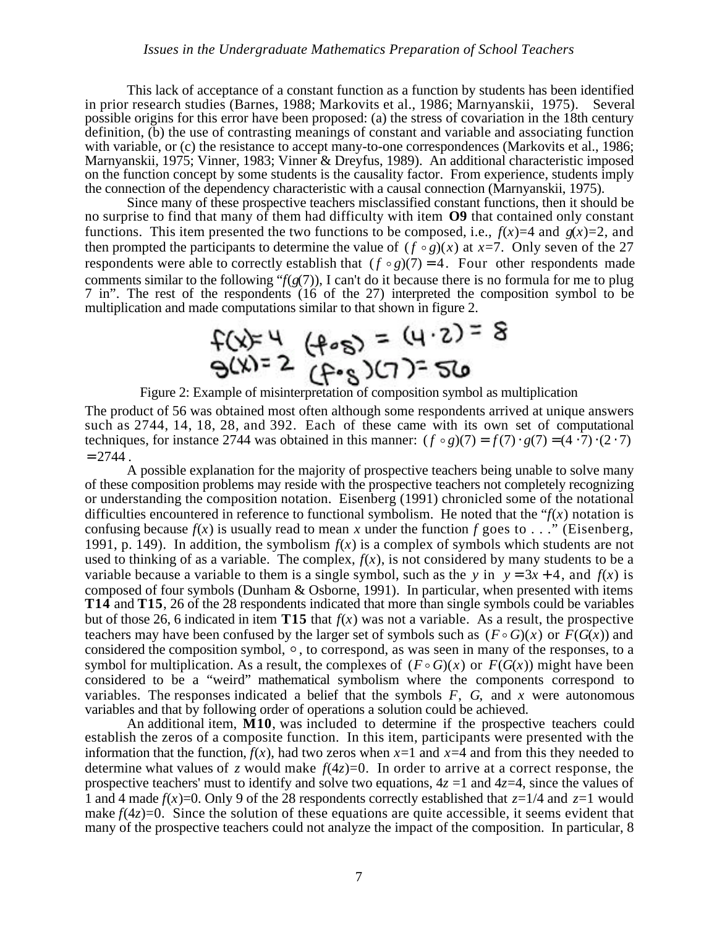This lack of acceptance of a constant function as a function by students has been identified in prior research studies (Barnes, 1988; Markovits et al., 1986; Marnyanskii, 1975). Several possible origins for this error have been proposed: (a) the stress of covariation in the 18th century definition, (b) the use of contrasting meanings of constant and variable and associating function with variable, or (c) the resistance to accept many-to-one correspondences (Markovits et al., 1986; Marnyanskii, 1975; Vinner, 1983; Vinner & Dreyfus, 1989). An additional characteristic imposed on the function concept by some students is the causality factor. From experience, students imply the connection of the dependency characteristic with a causal connection (Marnyanskii, 1975).

Since many of these prospective teachers misclassified constant functions, then it should be no surprise to find that many of them had difficulty with item **O9** that contained only constant functions. This item presented the two functions to be composed, i.e.,  $f(x)=4$  and  $g(x)=2$ , and then prompted the participants to determine the value of  $(f \circ g)(x)$  at  $x=7$ . Only seven of the 27 respondents were able to correctly establish that  $(f \circ g)(7) = 4$ . Four other respondents made  $\frac{1}{1}$ comments similar to the following "*f*(*g*(7)), I can't do it because there is no formula for me to plug 7 in". The rest of the respondents (16 of the 27) interpreted the composition symbol to be multiplication and made computations similar to that shown in figure 2.

$$
f(x)=4
$$
  $(f\cdot s) = (4\cdot 2) = 8$   
\n $g(x)=2$   $(f\cdot s)(7)=50$ 

Figure 2: Example of misinterpretation of composition symbol as multiplication

The product of 56 was obtained most often although some respondents arrived at unique answers such as 2744, 14, 18, 28, and 392. Each of these came with its own set of computational techniques, for instance 2744 was obtained in this manner:  $(f \circ g)(7) = f(7) g(7) = (4 \cdot 7) (2 \cdot 7)$  $= 2744$ 

A possible explanation for the majority of prospective teachers being unable to solve many of these composition problems may reside with the prospective teachers not completely recognizing or understanding the composition notation. Eisenberg (1991) chronicled some of the notational difficulties encountered in reference to functional symbolism. He noted that the " $f(x)$  notation is confusing because  $f(x)$  is usually read to mean x under the function f goes to . . ." (Eisenberg, 1991, p. 149). In addition, the symbolism  $f(x)$  is a complex of symbols which students are not used to thinking of as a variable. The complex,  $f(x)$ , is not considered by many students to be a variable because a variable to them is a single symbol, such as the *y* in  $y = 3x + 4$ , and  $f(x)$  is composed of four symbols (Dunham & Osborne, 1991). In particular, when presented with items **T14** and **T15**, 26 of the 28 respondents indicated that more than single symbols could be variables but of those 26, 6 indicated in item **T15** that  $f(x)$  was not a variable. As a result, the prospective teachers may have been confused by the larger set of symbols such as  $(F \circ G)(x)$  or  $F(G(x))$  and considered the composition symbol,  $\circ$ , to correspond, as was seen in many of the responses, to a considered the composition symbol,  $\circ$ , to correspond, as was seen in many of the responses, to a symbol for multiplication. As a result, the complexes of  $(F \circ G)(x)$  or  $F(G(x))$  might have been symbol for multiplication. As a result, the complexes of  $(F \circ G)(x)$  or  $F(G(x))$  inight have been<br>considered to be a "weird" mathematical symbolism where the components correspond to variables. The responses indicated a belief that the symbols *F*, *G*, and *x* were autonomous variables and that by following order of operations a solution could be achieved.

An additional item, **M10**, was included to determine if the prospective teachers could establish the zeros of a composite function. In this item, participants were presented with the information that the function,  $f(x)$ , had two zeros when  $x=1$  and  $x=4$  and from this they needed to determine what values of *z* would make  $f(4z)=0$ . In order to arrive at a correct response, the prospective teachers' must to identify and solve two equations,  $4z = 1$  and  $4z=4$ , since the values of 1 and 4 made  $f(x)=0$ . Only 9 of the 28 respondents correctly established that  $z=1/4$  and  $z=1$  would make  $f(4z)=0$ . Since the solution of these equations are quite accessible, it seems evident that many of the prospective teachers could not analyze the impact of the composition. In particular, 8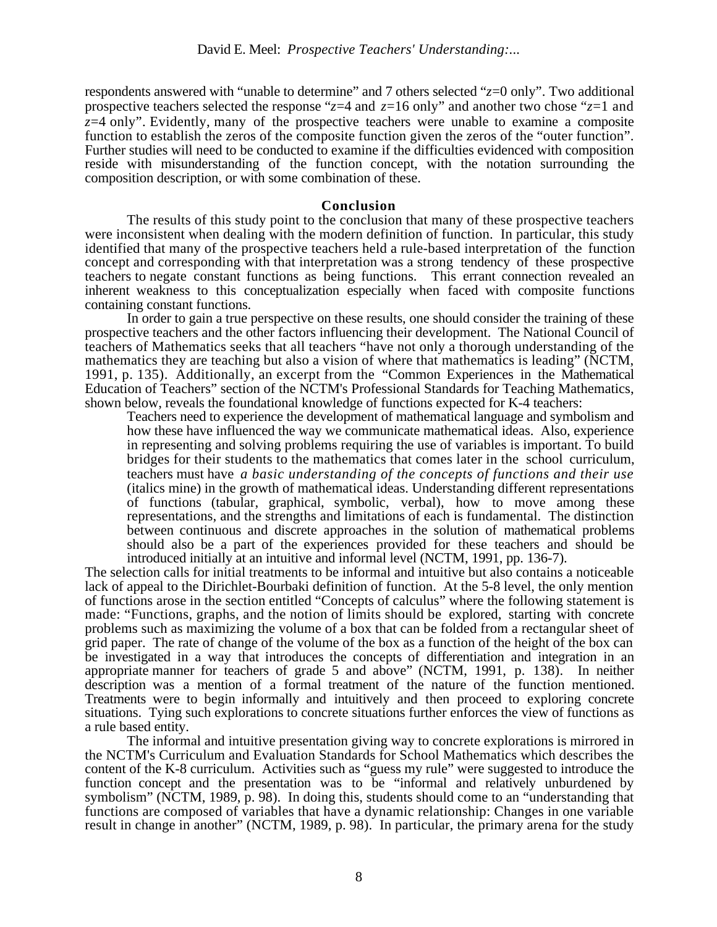respondents answered with "unable to determine" and 7 others selected "*z*=0 only". Two additional prospective teachers selected the response "*z*=4 and *z*=16 only" and another two chose "*z*=1 and *z*=4 only". Evidently, many of the prospective teachers were unable to examine a composite function to establish the zeros of the composite function given the zeros of the "outer function". Further studies will need to be conducted to examine if the difficulties evidenced with composition reside with misunderstanding of the function concept, with the notation surrounding the composition description, or with some combination of these.

#### **Conclusion**

The results of this study point to the conclusion that many of these prospective teachers were inconsistent when dealing with the modern definition of function. In particular, this study identified that many of the prospective teachers held a rule-based interpretation of the function concept and corresponding with that interpretation was a strong tendency of these prospective teachers to negate constant functions as being functions. This errant connection revealed an inherent weakness to this conceptualization especially when faced with composite functions containing constant functions.

In order to gain a true perspective on these results, one should consider the training of these prospective teachers and the other factors influencing their development. The National Council of teachers of Mathematics seeks that all teachers "have not only a thorough understanding of the mathematics they are teaching but also a vision of where that mathematics is leading" (NCTM, 1991, p. 135). Additionally, an excerpt from the "Common Experiences in the Mathematical Education of Teachers" section of the NCTM's Professional Standards for Teaching Mathematics, shown below, reveals the foundational knowledge of functions expected for K-4 teachers:

Teachers need to experience the development of mathematical language and symbolism and how these have influenced the way we communicate mathematical ideas. Also, experience in representing and solving problems requiring the use of variables is important. To build bridges for their students to the mathematics that comes later in the school curriculum, teachers must have *a basic understanding of the concepts of functions and their use* (italics mine) in the growth of mathematical ideas. Understanding different representations of functions (tabular, graphical, symbolic, verbal), how to move among these representations, and the strengths and limitations of each is fundamental. The distinction between continuous and discrete approaches in the solution of mathematical problems should also be a part of the experiences provided for these teachers and should be introduced initially at an intuitive and informal level (NCTM, 1991, pp. 136-7).

The selection calls for initial treatments to be informal and intuitive but also contains a noticeable lack of appeal to the Dirichlet-Bourbaki definition of function. At the 5-8 level, the only mention of functions arose in the section entitled "Concepts of calculus" where the following statement is made: "Functions, graphs, and the notion of limits should be explored, starting with concrete problems such as maximizing the volume of a box that can be folded from a rectangular sheet of grid paper. The rate of change of the volume of the box as a function of the height of the box can be investigated in a way that introduces the concepts of differentiation and integration in an appropriate manner for teachers of grade 5 and above" (NCTM, 1991, p. 138). In neither description was a mention of a formal treatment of the nature of the function mentioned. Treatments were to begin informally and intuitively and then proceed to exploring concrete situations. Tying such explorations to concrete situations further enforces the view of functions as a rule based entity.

The informal and intuitive presentation giving way to concrete explorations is mirrored in the NCTM's Curriculum and Evaluation Standards for School Mathematics which describes the content of the K-8 curriculum. Activities such as "guess my rule" were suggested to introduce the function concept and the presentation was to be "informal and relatively unburdened by symbolism" (NCTM, 1989, p. 98). In doing this, students should come to an "understanding that functions are composed of variables that have a dynamic relationship: Changes in one variable result in change in another" (NCTM, 1989, p. 98). In particular, the primary arena for the study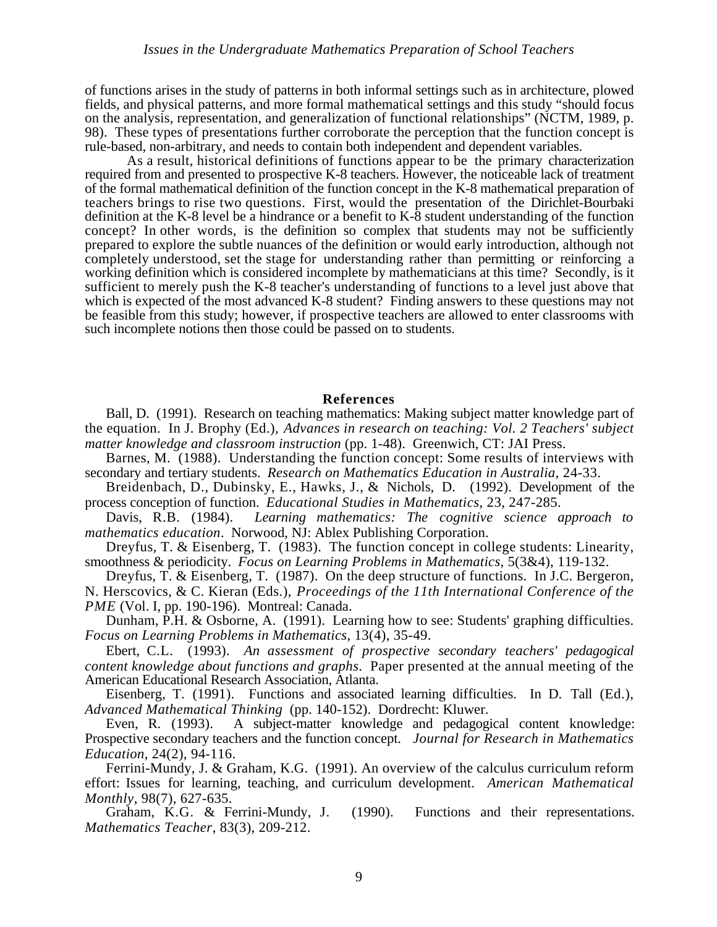of functions arises in the study of patterns in both informal settings such as in architecture, plowed fields, and physical patterns, and more formal mathematical settings and this study "should focus on the analysis, representation, and generalization of functional relationships" (NCTM, 1989, p. 98). These types of presentations further corroborate the perception that the function concept is rule-based, non-arbitrary, and needs to contain both independent and dependent variables.

As a result, historical definitions of functions appear to be the primary characterization required from and presented to prospective K-8 teachers. However, the noticeable lack of treatment of the formal mathematical definition of the function concept in the K-8 mathematical preparation of teachers brings to rise two questions. First, would the presentation of the Dirichlet-Bourbaki definition at the K-8 level be a hindrance or a benefit to K-8 student understanding of the function concept? In other words, is the definition so complex that students may not be sufficiently prepared to explore the subtle nuances of the definition or would early introduction, although not completely understood, set the stage for understanding rather than permitting or reinforcing a working definition which is considered incomplete by mathematicians at this time? Secondly, is it sufficient to merely push the K-8 teacher's understanding of functions to a level just above that which is expected of the most advanced K-8 student? Finding answers to these questions may not be feasible from this study; however, if prospective teachers are allowed to enter classrooms with such incomplete notions then those could be passed on to students.

#### **References**

Ball, D. (1991). Research on teaching mathematics: Making subject matter knowledge part of the equation. In J. Brophy (Ed.), *Advances in research on teaching: Vol. 2 Teachers' subject matter knowledge and classroom instruction* (pp. 1-48). Greenwich, CT: JAI Press.

Barnes, M. (1988). Understanding the function concept: Some results of interviews with secondary and tertiary students. *Research on Mathematics Education in Australia*, 24-33.

Breidenbach, D., Dubinsky, E., Hawks, J., & Nichols, D. (1992). Development of the process conception of function. *Educational Studies in Mathematics*, 23, 247-285.

Davis, R.B. (1984). *Learning mathematics: The cognitive science approach to mathematics education*. Norwood, NJ: Ablex Publishing Corporation.

Dreyfus, T. & Eisenberg, T. (1983). The function concept in college students: Linearity, smoothness & periodicity. *Focus on Learning Problems in Mathematics*, 5(3&4), 119-132.

Dreyfus, T. & Eisenberg, T. (1987). On the deep structure of functions. In J.C. Bergeron,

N. Herscovics, & C. Kieran (Eds.), *Proceedings of the 11th International Conference of the PME* (Vol. I, pp. 190-196). Montreal: Canada.

Dunham, P.H. & Osborne, A. (1991). Learning how to see: Students' graphing difficulties. *Focus on Learning Problems in Mathematics*, 13(4), 35-49.

Ebert, C.L. (1993). *An assessment of prospective secondary teachers' pedagogical content knowledge about functions and graphs*. Paper presented at the annual meeting of the American Educational Research Association, Atlanta.

Eisenberg, T. (1991). Functions and associated learning difficulties. In D. Tall (Ed.), *Advanced Mathematical Thinking* (pp. 140-152). Dordrecht: Kluwer.

Even, R. (1993). A subject-matter knowledge and pedagogical content knowledge: Prospective secondary teachers and the function concept. *Journal for Research in Mathematics Education*, 24(2), 94-116.

Ferrini-Mundy, J. & Graham, K.G. (1991). An overview of the calculus curriculum reform effort: Issues for learning, teaching, and curriculum development. *American Mathematical Monthly*, 98(7), 627-635.

Graham, K.G. & Ferrini-Mundy, J. (1990). Functions and their representations. *Mathematics Teacher*, 83(3), 209-212.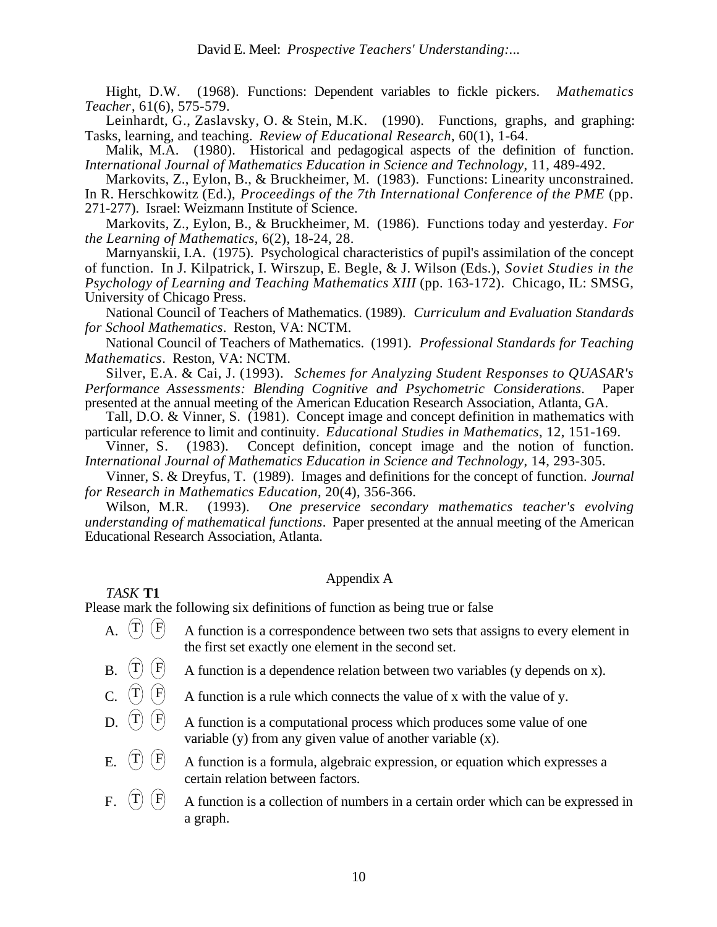Hight, D.W. (1968). Functions: Dependent variables to fickle pickers. *Mathematics Teacher*, 61(6), 575-579.

Leinhardt, G., Zaslavsky, O. & Stein, M.K. (1990). Functions, graphs, and graphing: Tasks, learning, and teaching. *Review of Educational Research*, 60(1), 1-64.

Malik, M.A. (1980). Historical and pedagogical aspects of the definition of function. *International Journal of Mathematics Education in Science and Technology*, 11, 489-492.

Markovits, Z., Eylon, B., & Bruckheimer, M. (1983). Functions: Linearity unconstrained. In R. Herschkowitz (Ed.), *Proceedings of the 7th International Conference of the PME* (pp. 271-277). Israel: Weizmann Institute of Science.

Markovits, Z., Eylon, B., & Bruckheimer, M. (1986). Functions today and yesterday. *For the Learning of Mathematics*, 6(2), 18-24, 28.

Marnyanskii, I.A. (1975). Psychological characteristics of pupil's assimilation of the concept of function. In J. Kilpatrick, I. Wirszup, E. Begle, & J. Wilson (Eds.), *Soviet Studies in the Psychology of Learning and Teaching Mathematics XIII* (pp. 163-172). Chicago, IL: SMSG, University of Chicago Press.

National Council of Teachers of Mathematics. (1989). *Curriculum and Evaluation Standards for School Mathematics*. Reston, VA: NCTM.

National Council of Teachers of Mathematics. (1991). *Professional Standards for Teaching Mathematics*. Reston, VA: NCTM.

Silver, E.A. & Cai, J. (1993). *Schemes for Analyzing Student Responses to QUASAR's Performance Assessments: Blending Cognitive and Psychometric Considerations*. Paper presented at the annual meeting of the American Education Research Association, Atlanta, GA.

Tall, D.O. & Vinner, S. (1981). Concept image and concept definition in mathematics with particular reference to limit and continuity. *Educational Studies in Mathematics*, 12, 151-169.<br>Vinner, S. (1983). Concept definition, concept image and the notion of function

Concept definition, concept image and the notion of function. *International Journal of Mathematics Education in Science and Technology*, 14, 293-305.

Vinner, S. & Dreyfus, T. (1989). Images and definitions for the concept of function. *Journal for Research in Mathematics Education*, 20(4), 356-366.

Wilson, M.R. (1993). *One preservice secondary mathematics teacher's evolving understanding of mathematical functions*. Paper presented at the annual meeting of the American Educational Research Association, Atlanta.

## Appendix A

Please mark the following six definitions of function as being true or false

- A.  $(T)$   $(F)$  A function is a correspondence between two sets that assigns to every element in the first set exactly one element in the second set.
- 

*TASK* **T1**

- B.  $(T)$   $(F)$  A function is a dependence relation between two variables (y depends on x).
- C.  $(T)$   $(F)$  A function is a rule which connects the value of x with the value of y.
- D.  $(T)$   $(F)$  A function is a computational process which produces some value of one variable (y) from any given value of another variable (x).
- E.  $(T)$   $(F)$  A function is a formula, algebraic expression, or equation which expresses a certain relation between factors.
- F.  $(T)$   $(F)$  A function is a collection of numbers in a certain order which can be expressed in a graph.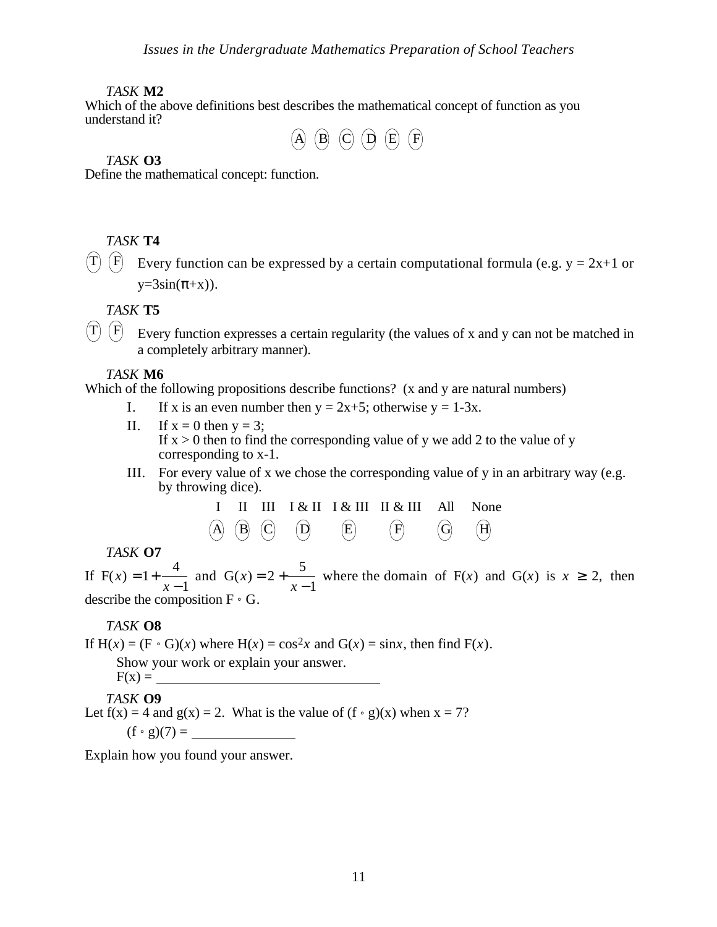### *TASK* **M2**

Which of the above definitions best describes the mathematical concept of function as you understand it?



### *TASK* **O3**

Define the mathematical concept: function.

*TASK* **T4**

 $(T)$   $(F)$  Every function can be expressed by a certain computational formula (e.g.  $y = 2x+1$  or  $y=3\sin(+x)$ ).

*TASK* **T5**

 $(T)$   $(F)$  Every function expresses a certain regularity (the values of x and y can not be matched in a completely arbitrary manner).

*TASK* **M6**

Which of the following propositions describe functions? (x and y are natural numbers)

- I. If x is an even number then  $y = 2x+5$ ; otherwise  $y = 1-3x$ .
- II. If  $x = 0$  then  $y = 3$ ; If  $x > 0$  then to find the corresponding value of y we add 2 to the value of y corresponding to x-1.
- III. For every value of x we chose the corresponding value of y in an arbitrary way (e.g. by throwing dice).

$$
\begin{array}{ccccccccc}\nI & II & III & I & \& II & I & \& III & II & \& III & All & None \\
\hline\n\text{(A)} & \text{(B)} & \text{(C)} & \text{(D)} & \text{(E)} & \text{(F)} & \text{(G)} & \text{(H)}\n\end{array}
$$

*TASK* **O7**

If  $F(x) = 1 +$ 4 *x* −1 and  $G(x) = 2 +$ 5 *x* −1 where the domain of  $F(x)$  and  $G(x)$  is  $x = 2$ , then describe the composition  $F \circ G$ .

## *TASK* **O8**

If  $H(x) = (F \cdot G)(x)$  where  $H(x) = \cos^2 x$  and  $G(x) = \sin x$ , then find  $F(x)$ .

Show your work or explain your answer.

# $F(x) =$

*TASK* **O9** Let  $f(x) = 4$  and  $g(x) = 2$ . What is the value of  $(f \circ g)(x)$  when  $x = 7$ ? (f ˚ g)(7) =

Explain how you found your answer.